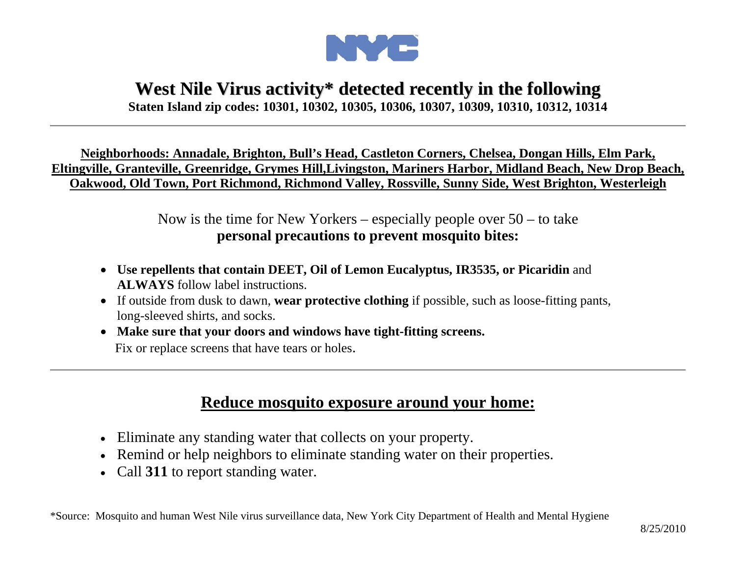

## **West Nile Virus activity\* detected recently in the following**

**Staten Island zip codes: 10301, 10302, 10305, 10306, 10307, 10309, 10310, 10312, 10314** 

**Neighborhoods: Annadale, Brighton, Bull's Head, Castleton Corners, Chelsea, Dongan Hills, Elm Park, Eltingville, Granteville, Greenridge, Grymes Hill,Livingston, Mariners Harbor, Midland Beach, New Drop Beach, Oakwood, Old Town, Port Richmond, Richmond Valley, Rossville, Sunny Side, West Brighton, Westerleigh**

> Now is the time for New Yorkers – especially people over  $50 -$  to take **personal precautions to prevent mosquito bites:**

- **Use repellents that contain DEET, Oil of Lemon Eucalyptus, IR3535, or Picaridin** and **ALWAYS** follow label instructions.
- If outside from dusk to dawn, **wear protective clothing** if possible, such as loose-fitting pants, long-sleeved shirts, and socks.
- **Make sure that your doors and windows have tight-fitting screens.** Fix or replace screens that have tears or holes.

## **Reduce mosquito exposure around your home:**

- Eliminate any standing water that collects on your property.
- Remind or help neighbors to eliminate standing water on their properties.
- Call **311** to report standing water.